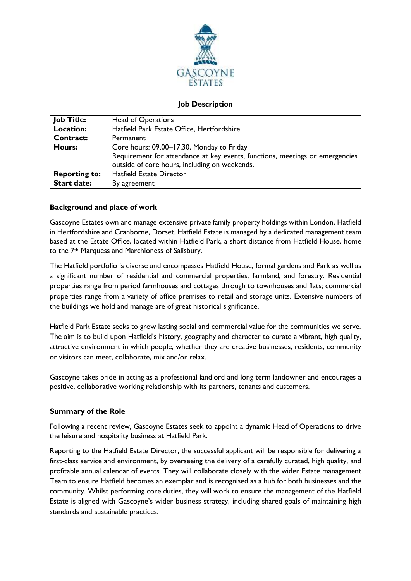

### **Job Description**

| <b>Job Title:</b>    | <b>Head of Operations</b>                                                                                                     |
|----------------------|-------------------------------------------------------------------------------------------------------------------------------|
| Location:            | Hatfield Park Estate Office, Hertfordshire                                                                                    |
| <b>Contract:</b>     | Permanent                                                                                                                     |
| <b>Hours:</b>        | Core hours: 09.00-17.30, Monday to Friday                                                                                     |
|                      | Requirement for attendance at key events, functions, meetings or emergencies<br>outside of core hours, including on weekends. |
|                      | <b>Hatfield Estate Director</b>                                                                                               |
| <b>Reporting to:</b> |                                                                                                                               |
| <b>Start date:</b>   | By agreement                                                                                                                  |

## **Background and place of work**

Gascoyne Estates own and manage extensive private family property holdings within London, Hatfield in Hertfordshire and Cranborne, Dorset. Hatfield Estate is managed by a dedicated management team based at the Estate Office, located within Hatfield Park, a short distance from Hatfield House, home to the 7th Marquess and Marchioness of Salisbury.

The Hatfield portfolio is diverse and encompasses Hatfield House, formal gardens and Park as well as a significant number of residential and commercial properties, farmland, and forestry. Residential properties range from period farmhouses and cottages through to townhouses and flats; commercial properties range from a variety of office premises to retail and storage units. Extensive numbers of the buildings we hold and manage are of great historical significance.

Hatfield Park Estate seeks to grow lasting social and commercial value for the communities we serve. The aim is to build upon Hatfield's history, geography and character to curate a vibrant, high quality, attractive environment in which people, whether they are creative businesses, residents, community or visitors can meet, collaborate, mix and/or relax.

Gascoyne takes pride in acting as a professional landlord and long term landowner and encourages a positive, collaborative working relationship with its partners, tenants and customers.

### **Summary of the Role**

Following a recent review, Gascoyne Estates seek to appoint a dynamic Head of Operations to drive the leisure and hospitality business at Hatfield Park.

Reporting to the Hatfield Estate Director, the successful applicant will be responsible for delivering a first-class service and environment, by overseeing the delivery of a carefully curated, high quality, and profitable annual calendar of events. They will collaborate closely with the wider Estate management Team to ensure Hatfield becomes an exemplar and is recognised as a hub for both businesses and the community. Whilst performing core duties, they will work to ensure the management of the Hatfield Estate is aligned with Gascoyne's wider business strategy, including shared goals of maintaining high standards and sustainable practices.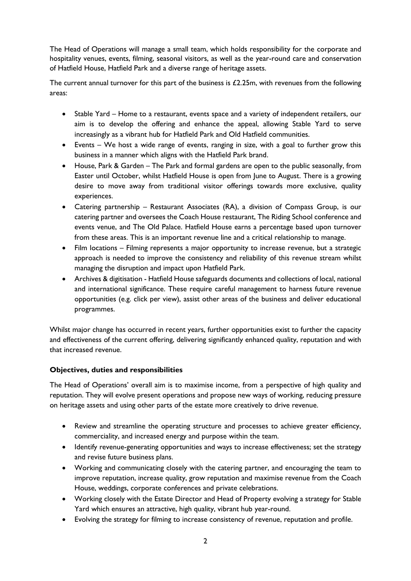The Head of Operations will manage a small team, which holds responsibility for the corporate and hospitality venues, events, filming, seasonal visitors, as well as the year-round care and conservation of Hatfield House, Hatfield Park and a diverse range of heritage assets.

The current annual turnover for this part of the business is £2.25m, with revenues from the following areas:

- Stable Yard Home to a restaurant, events space and a variety of independent retailers, our aim is to develop the offering and enhance the appeal, allowing Stable Yard to serve increasingly as a vibrant hub for Hatfield Park and Old Hatfield communities.
- Events We host a wide range of events, ranging in size, with a goal to further grow this business in a manner which aligns with the Hatfield Park brand.
- House, Park & Garden The Park and formal gardens are open to the public seasonally, from Easter until October, whilst Hatfield House is open from June to August. There is a growing desire to move away from traditional visitor offerings towards more exclusive, quality experiences.
- Catering partnership Restaurant Associates (RA), a division of Compass Group, is our catering partner and oversees the Coach House restaurant, The Riding School conference and events venue, and The Old Palace. Hatfield House earns a percentage based upon turnover from these areas. This is an important revenue line and a critical relationship to manage.
- Film locations Filming represents a major opportunity to increase revenue, but a strategic approach is needed to improve the consistency and reliability of this revenue stream whilst managing the disruption and impact upon Hatfield Park.
- Archives & digitisation Hatfield House safeguards documents and collections of local, national and international significance. These require careful management to harness future revenue opportunities (e.g. click per view), assist other areas of the business and deliver educational programmes.

Whilst major change has occurred in recent years, further opportunities exist to further the capacity and effectiveness of the current offering, delivering significantly enhanced quality, reputation and with that increased revenue.

# **Objectives, duties and responsibilities**

The Head of Operations' overall aim is to maximise income, from a perspective of high quality and reputation. They will evolve present operations and propose new ways of working, reducing pressure on heritage assets and using other parts of the estate more creatively to drive revenue.

- Review and streamline the operating structure and processes to achieve greater efficiency, commerciality, and increased energy and purpose within the team.
- Identify revenue-generating opportunities and ways to increase effectiveness; set the strategy and revise future business plans.
- Working and communicating closely with the catering partner, and encouraging the team to improve reputation, increase quality, grow reputation and maximise revenue from the Coach House, weddings, corporate conferences and private celebrations.
- Working closely with the Estate Director and Head of Property evolving a strategy for Stable Yard which ensures an attractive, high quality, vibrant hub year-round.
- Evolving the strategy for filming to increase consistency of revenue, reputation and profile.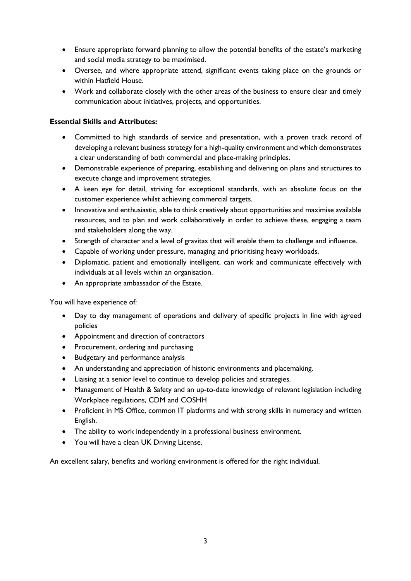- Ensure appropriate forward planning to allow the potential benefits of the estate's marketing and social media strategy to be maximised.
- Oversee, and where appropriate attend, significant events taking place on the grounds or within Hatfield House.
- Work and collaborate closely with the other areas of the business to ensure clear and timely communication about initiatives, projects, and opportunities.

### **Essential Skills and Attributes:**

- Committed to high standards of service and presentation, with a proven track record of developing a relevant business strategy for a high-quality environment and which demonstrates a clear understanding of both commercial and place-making principles.
- Demonstrable experience of preparing, establishing and delivering on plans and structures to execute change and improvement strategies.
- A keen eye for detail, striving for exceptional standards, with an absolute focus on the customer experience whilst achieving commercial targets.
- Innovative and enthusiastic, able to think creatively about opportunities and maximise available resources, and to plan and work collaboratively in order to achieve these, engaging a team and stakeholders along the way.
- Strength of character and a level of gravitas that will enable them to challenge and influence.
- Capable of working under pressure, managing and prioritising heavy workloads.
- Diplomatic, patient and emotionally intelligent, can work and communicate effectively with individuals at all levels within an organisation.
- An appropriate ambassador of the Estate.

You will have experience of:

- Day to day management of operations and delivery of specific projects in line with agreed policies
- Appointment and direction of contractors
- Procurement, ordering and purchasing
- Budgetary and performance analysis
- An understanding and appreciation of historic environments and placemaking.
- Liaising at a senior level to continue to develop policies and strategies.
- Management of Health & Safety and an up-to-date knowledge of relevant legislation including Workplace regulations, CDM and COSHH
- Proficient in MS Office, common IT platforms and with strong skills in numeracy and written English.
- The ability to work independently in a professional business environment.
- You will have a clean UK Driving License.

An excellent salary, benefits and working environment is offered for the right individual.